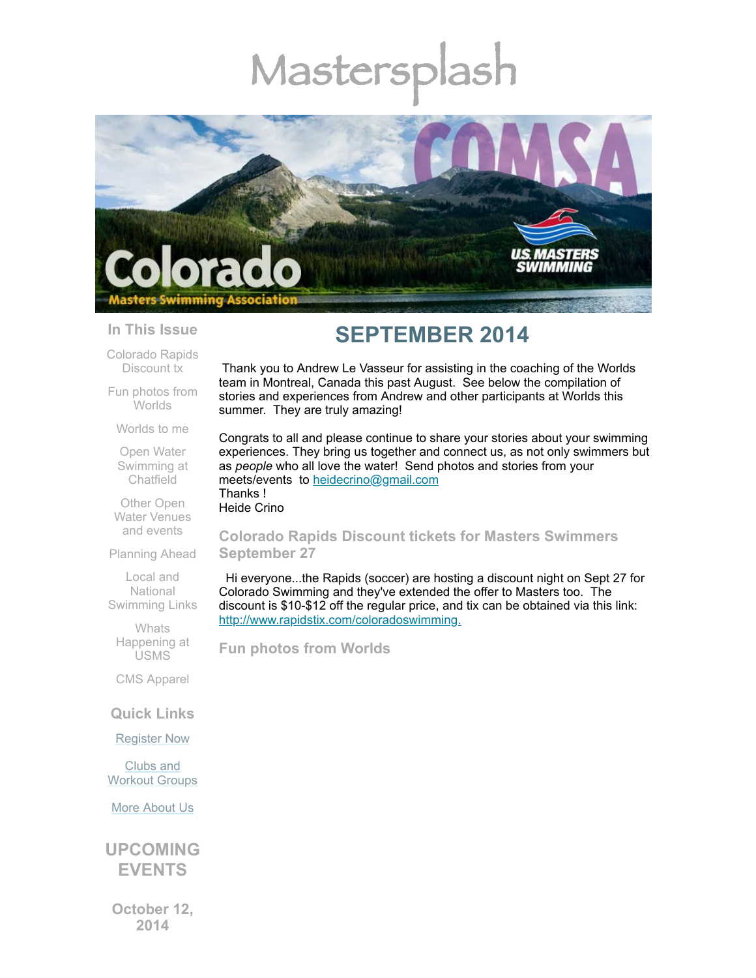# Mastersp



#### **In This Issue**

[Colorado](#page-0-0) Rapids Discount tx

Fun photos from **[Worlds](#page-0-1)** 

[Worlds](#page-3-0) to me

Open Water [Swimming](#page-8-0) at **Chatfield** 

Other Open Water [Venues](#page-9-0) and events

[Planning](#page-9-1) Ahead

Local and **National** [Swimming](#page-9-2) Links

**Whats** [Happening](#page-10-0) at USMS

CMS [Apparel](#page-10-1)

**Quick Links**

[Register](http://comsa.org/joining/index.html) Now

Clubs and [Workout](http://comsa.org/clubs/index.html) Groups

More [About](http://comsa.org/) Us

**UPCOMING EVENTS**

**October 12, 2014**

## **SEPTEMBER 2014**

Thank you to Andrew Le Vasseur for assisting in the coaching of the Worlds team in Montreal, Canada this past August. See below the compilation of stories and experiences from Andrew and other participants at Worlds this summer. They are truly amazing!

Congrats to all and please continue to share your stories about your swimming experiences. They bring us together and connect us, as not only swimmers but as *people* who all love the water! Send photos and stories from your meets/events to [heidecrino@gmail.com](mailto:heidecrino@gamil.com) Thanks !

Heide Crino

#### <span id="page-0-0"></span>**Colorado Rapids Discount tickets for Masters Swimmers September 27**

Hi everyone...the Rapids (soccer) are hosting a discount night on Sept 27 for Colorado Swimming and they've extended the offer to Masters too. The discount is \$10-\$12 off the regular price, and tix can be obtained via this link: <http://www.rapidstix.com/coloradoswimming.>

<span id="page-0-1"></span>**Fun photos from Worlds**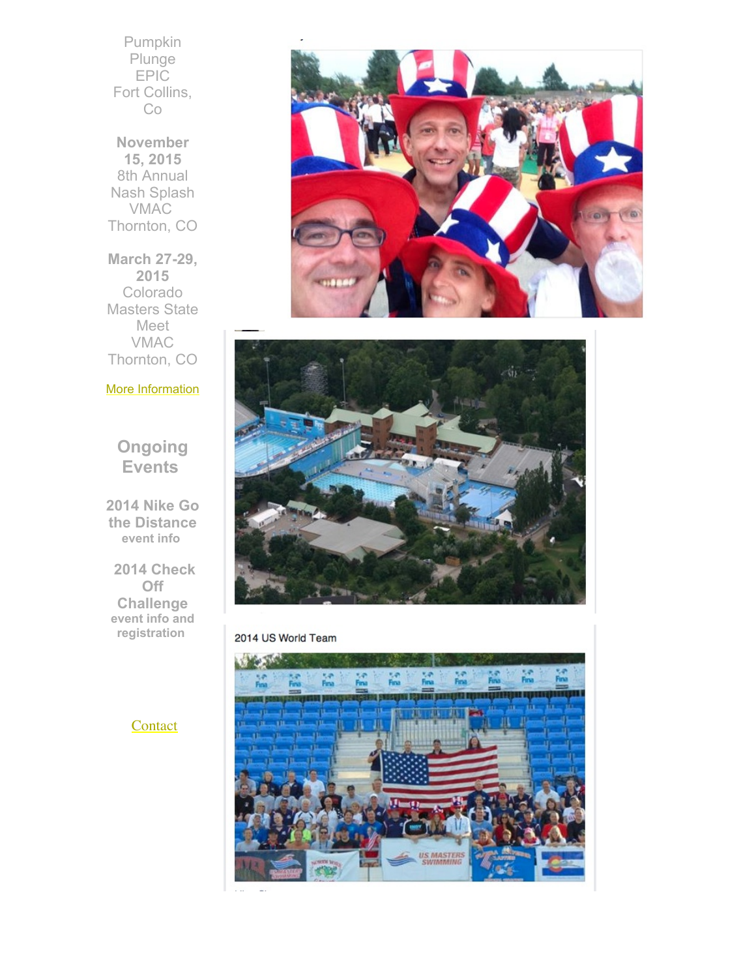Pumpkin **Plunge** EPIC Fort Collins, Co

**November 15, 2015** 8th Annual Nash Splash VMAC Thornton, CO

**March 27-29, 2015** Colorado Masters State Meet VMAC Thornton, CO

#### More [Information](http://www.comsa.org/)

### **Ongoing Events**

**2014 Nike Go the Distance [event](http://www.usms.org/fitness/content/gothedistance) info**

 **2014 Check Off Challenge event info and [registration](http://www.usms.org/fitness/content/checkoff)**





#### 2014 US World Team



**[Contact](mailto:heidecrino@gmail.com?)**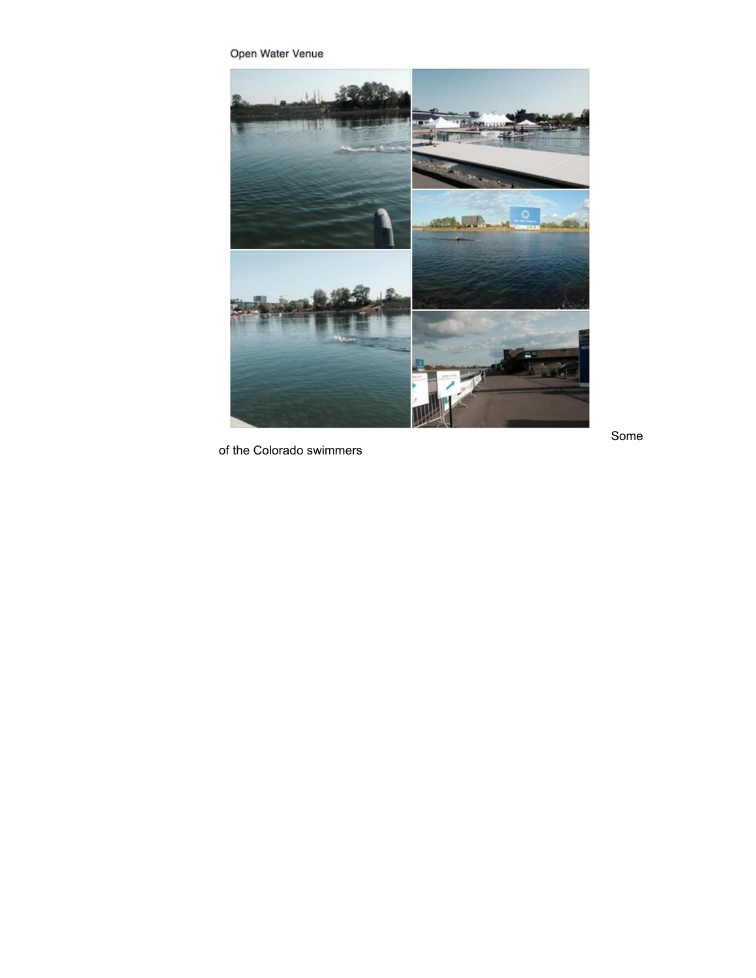Open Water Venue



of the Colorado swimmers

S o m e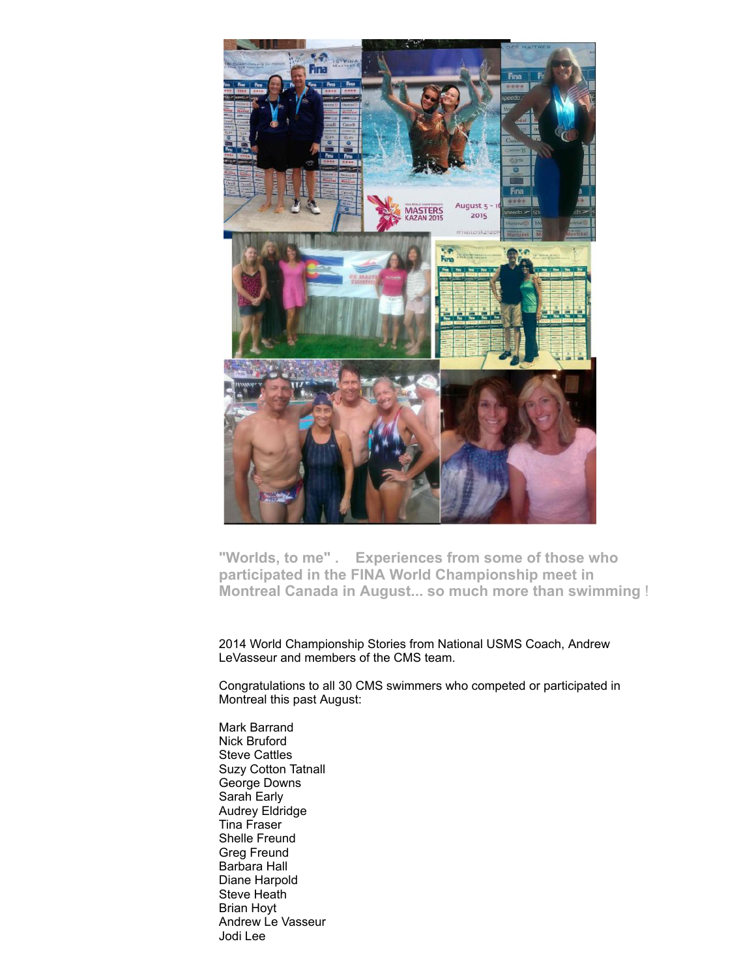

<span id="page-3-0"></span>**"Worlds, to me" . Experiences from some of those who participated in the FINA World Championship meet in Montreal Canada in August... so much more than swimming** !

2014 World Championship Stories from National USMS Coach, Andrew LeVasseur and members of the CMS team.

Congratulations to all 30 CMS swimmers who competed or participated in Montreal this past August:

Mark Barrand Nick Bruford Steve Cattles Suzy Cotton Tatnall George Downs Sarah Early Audrey Eldridge Tina Fraser Shelle Freund Greg Freund Barbara Hall Diane Harpold Steve Heath Brian Hoyt Andrew Le Vasseur Jodi Lee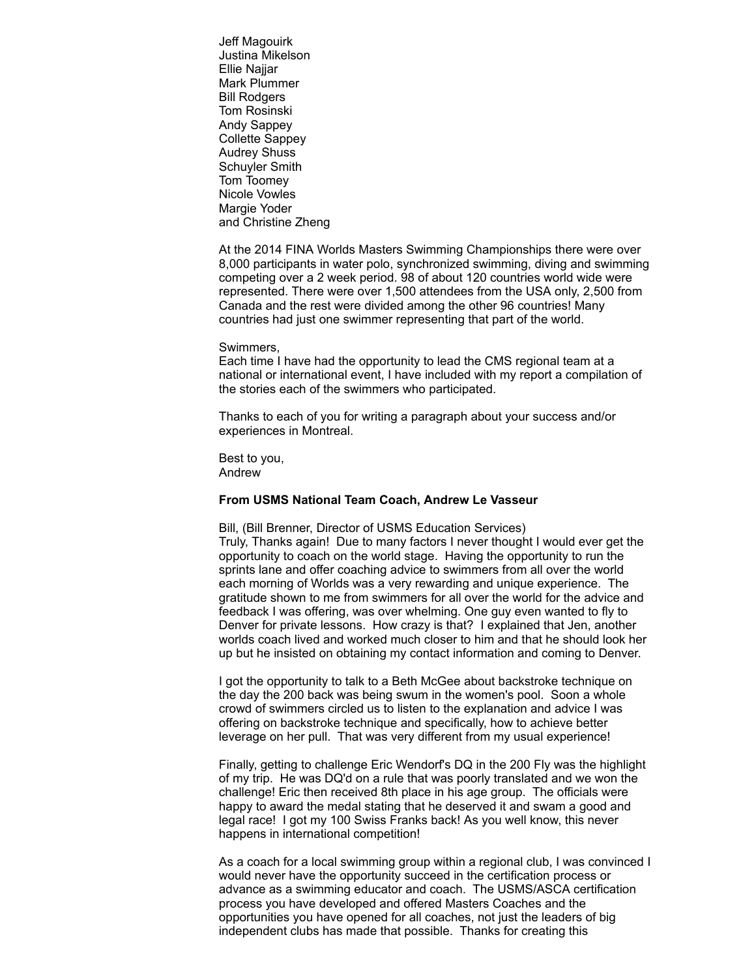Jeff Magouirk Justina Mikelson Ellie Najjar Mark Plummer Bill Rodgers Tom Rosinski Andy Sappey Collette Sappey Audrey Shuss Schuyler Smith Tom Toomey Nicole Vowles Margie Yoder and Christine Zheng

At the 2014 FINA Worlds Masters Swimming Championships there were over 8,000 participants in water polo, synchronized swimming, diving and swimming competing over a 2 week period. 98 of about 120 countries world wide were represented. There were over 1,500 attendees from the USA only, 2,500 from Canada and the rest were divided among the other 96 countries! Many countries had just one swimmer representing that part of the world.

#### Swimmers,

Each time I have had the opportunity to lead the CMS regional team at a national or international event, I have included with my report a compilation of the stories each of the swimmers who participated.

Thanks to each of you for writing a paragraph about your success and/or experiences in Montreal.

Best to you, Andrew

#### **From USMS National Team Coach, Andrew Le Vasseur**

Bill, (Bill Brenner, Director of USMS Education Services) Truly, Thanks again! Due to many factors I never thought I would ever get the opportunity to coach on the world stage. Having the opportunity to run the sprints lane and offer coaching advice to swimmers from all over the world each morning of Worlds was a very rewarding and unique experience. The gratitude shown to me from swimmers for all over the world for the advice and feedback I was offering, was over whelming. One guy even wanted to fly to Denver for private lessons. How crazy is that? I explained that Jen, another worlds coach lived and worked much closer to him and that he should look her up but he insisted on obtaining my contact information and coming to Denver.

I got the opportunity to talk to a Beth McGee about backstroke technique on the day the 200 back was being swum in the women's pool. Soon a whole crowd of swimmers circled us to listen to the explanation and advice I was offering on backstroke technique and specifically, how to achieve better leverage on her pull. That was very different from my usual experience!

Finally, getting to challenge Eric Wendorf's DQ in the 200 Fly was the highlight of my trip. He was DQ'd on a rule that was poorly translated and we won the challenge! Eric then received 8th place in his age group. The officials were happy to award the medal stating that he deserved it and swam a good and legal race! I got my 100 Swiss Franks back! As you well know, this never happens in international competition!

As a coach for a local swimming group within a regional club, I was convinced I would never have the opportunity succeed in the certification process or advance as a swimming educator and coach. The USMS/ASCA certification process you have developed and offered Masters Coaches and the opportunities you have opened for all coaches, not just the leaders of big independent clubs has made that possible. Thanks for creating this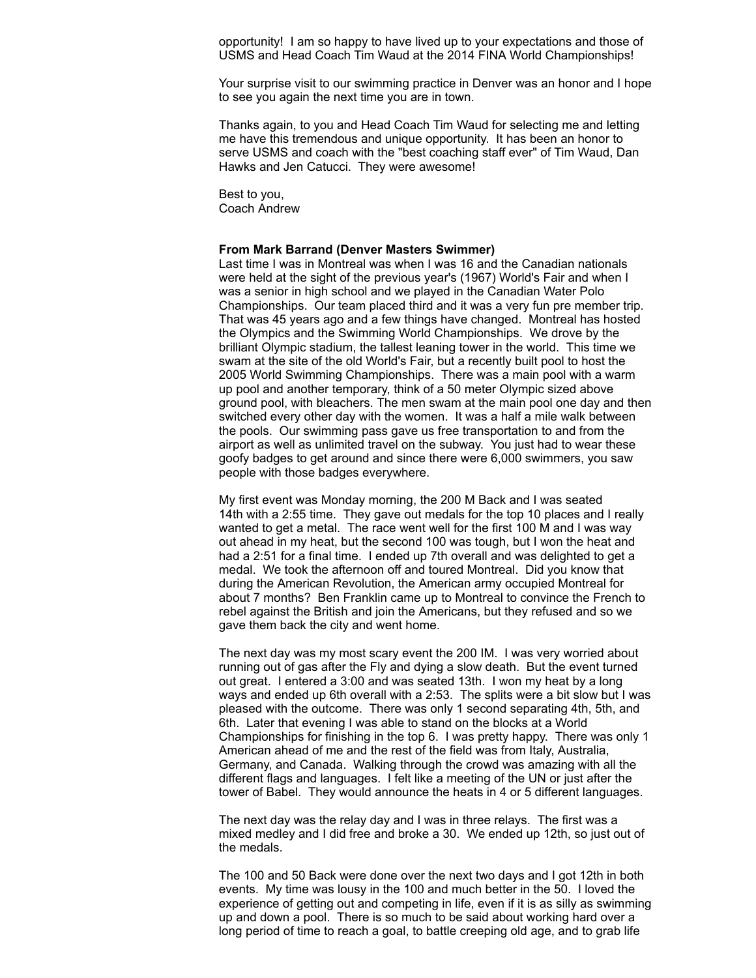opportunity! I am so happy to have lived up to your expectations and those of USMS and Head Coach Tim Waud at the 2014 FINA World Championships!

Your surprise visit to our swimming practice in Denver was an honor and I hope to see you again the next time you are in town.

Thanks again, to you and Head Coach Tim Waud for selecting me and letting me have this tremendous and unique opportunity. It has been an honor to serve USMS and coach with the "best coaching staff ever" of Tim Waud, Dan Hawks and Jen Catucci. They were awesome!

Best to you, Coach Andrew

#### **From Mark Barrand (Denver Masters Swimmer)**

Last time I was in Montreal was when I was 16 and the Canadian nationals were held at the sight of the previous year's (1967) World's Fair and when I was a senior in high school and we played in the Canadian Water Polo Championships. Our team placed third and it was a very fun pre member trip. That was 45 years ago and a few things have changed. Montreal has hosted the Olympics and the Swimming World Championships. We drove by the brilliant Olympic stadium, the tallest leaning tower in the world. This time we swam at the site of the old World's Fair, but a recently built pool to host the 2005 World Swimming Championships. There was a main pool with a warm up pool and another temporary, think of a 50 meter Olympic sized above ground pool, with bleachers. The men swam at the main pool one day and then switched every other day with the women. It was a half a mile walk between the pools. Our swimming pass gave us free transportation to and from the airport as well as unlimited travel on the subway. You just had to wear these goofy badges to get around and since there were 6,000 swimmers, you saw people with those badges everywhere.

My first event was Monday morning, the 200 M Back and I was seated 14th with a 2:55 time. They gave out medals for the top 10 places and I really wanted to get a metal. The race went well for the first 100 M and I was way out ahead in my heat, but the second 100 was tough, but I won the heat and had a 2:51 for a final time. I ended up 7th overall and was delighted to get a medal. We took the afternoon off and toured Montreal. Did you know that during the American Revolution, the American army occupied Montreal for about 7 months? Ben Franklin came up to Montreal to convince the French to rebel against the British and join the Americans, but they refused and so we gave them back the city and went home.

The next day was my most scary event the 200 IM. I was very worried about running out of gas after the Fly and dying a slow death. But the event turned out great. I entered a 3:00 and was seated 13th. I won my heat by a long ways and ended up 6th overall with a 2:53. The splits were a bit slow but I was pleased with the outcome. There was only 1 second separating 4th, 5th, and 6th. Later that evening I was able to stand on the blocks at a World Championships for finishing in the top 6. I was pretty happy. There was only 1 American ahead of me and the rest of the field was from Italy, Australia, Germany, and Canada. Walking through the crowd was amazing with all the different flags and languages. I felt like a meeting of the UN or just after the tower of Babel. They would announce the heats in 4 or 5 different languages.

The next day was the relay day and I was in three relays. The first was a mixed medley and I did free and broke a 30. We ended up 12th, so just out of the medals.

The 100 and 50 Back were done over the next two days and I got 12th in both events. My time was lousy in the 100 and much better in the 50. I loved the experience of getting out and competing in life, even if it is as silly as swimming up and down a pool. There is so much to be said about working hard over a long period of time to reach a goal, to battle creeping old age, and to grab life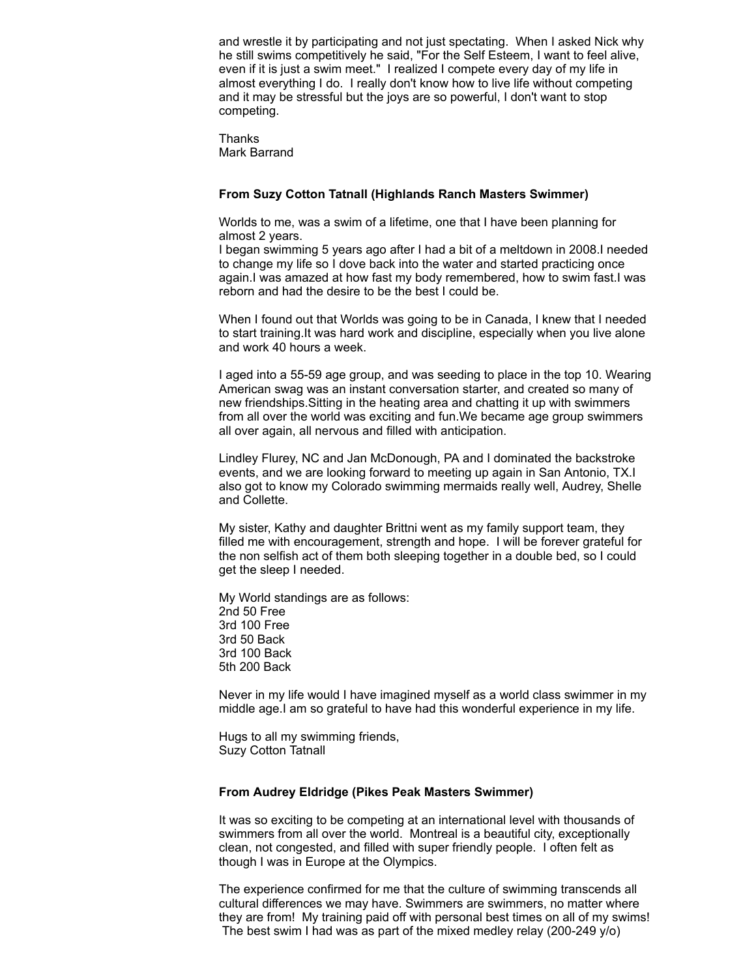and wrestle it by participating and not just spectating. When I asked Nick why he still swims competitively he said, "For the Self Esteem, I want to feel alive, even if it is just a swim meet." I realized I compete every day of my life in almost everything I do. I really don't know how to live life without competing and it may be stressful but the joys are so powerful, I don't want to stop competing.

**Thanks** Mark Barrand

#### **From Suzy Cotton Tatnall (Highlands Ranch Masters Swimmer)**

Worlds to me, was a swim of a lifetime, one that I have been planning for almost 2 years.

I began swimming 5 years ago after I had a bit of a meltdown in 2008.I needed to change my life so I dove back into the water and started practicing once again.I was amazed at how fast my body remembered, how to swim fast.I was reborn and had the desire to be the best I could be.

When I found out that Worlds was going to be in Canada, I knew that I needed to start training.It was hard work and discipline, especially when you live alone and work 40 hours a week.

I aged into a 55-59 age group, and was seeding to place in the top 10. Wearing American swag was an instant conversation starter, and created so many of new friendships.Sitting in the heating area and chatting it up with swimmers from all over the world was exciting and fun.We became age group swimmers all over again, all nervous and filled with anticipation.

Lindley Flurey, NC and Jan McDonough, PA and I dominated the backstroke events, and we are looking forward to meeting up again in San Antonio, TX.I also got to know my Colorado swimming mermaids really well, Audrey, Shelle and Collette.

My sister, Kathy and daughter Brittni went as my family support team, they filled me with encouragement, strength and hope. I will be forever grateful for the non selfish act of them both sleeping together in a double bed, so I could get the sleep I needed.

My World standings are as follows: 2nd 50 Free 3rd 100 Free 3rd 50 Back 3rd 100 Back 5th 200 Back

Never in my life would I have imagined myself as a world class swimmer in my middle age.I am so grateful to have had this wonderful experience in my life.

Hugs to all my swimming friends, Suzy Cotton Tatnall

#### **From Audrey Eldridge (Pikes Peak Masters Swimmer)**

It was so exciting to be competing at an international level with thousands of swimmers from all over the world. Montreal is a beautiful city, exceptionally clean, not congested, and filled with super friendly people. I often felt as though I was in Europe at the Olympics.

The experience confirmed for me that the culture of swimming transcends all cultural differences we may have. Swimmers are swimmers, no matter where they are from! My training paid off with personal best times on all of my swims! The best swim I had was as part of the mixed medley relay (200-249 y/o)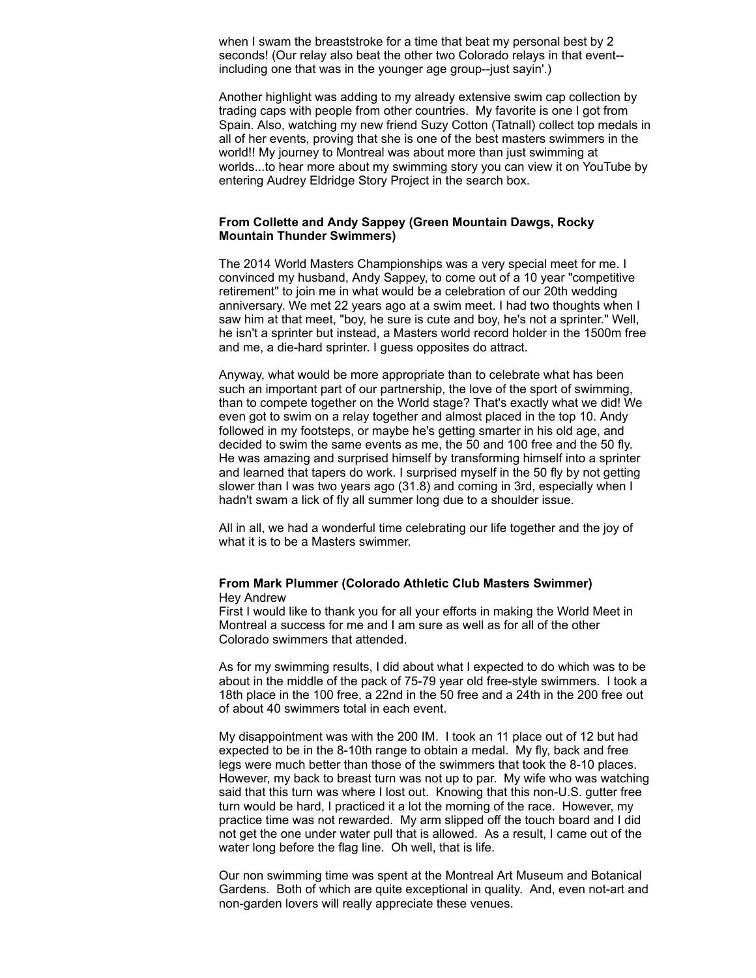when I swam the breaststroke for a time that beat my personal best by 2 seconds! (Our relay also beat the other two Colorado relays in that event- including one that was in the younger age group--just sayin'.)

Another highlight was adding to my already extensive swim cap collection by trading caps with people from other countries. My favorite is one I got from Spain. Also, watching my new friend Suzy Cotton (Tatnall) collect top medals in all of her events, proving that she is one of the best masters swimmers in the world!! My journey to Montreal was about more than just swimming at worlds...to hear more about my swimming story you can view it on YouTube by entering Audrey Eldridge Story Project in the search box.

#### **From Collette and Andy Sappey (Green Mountain Dawgs, Rocky Mountain Thunder Swimmers)**

The 2014 World Masters Championships was a very special meet for me. I convinced my husband, Andy Sappey, to come out of a 10 year "competitive retirement" to join me in what would be a celebration of our 20th wedding anniversary. We met 22 years ago at a swim meet. I had two thoughts when I saw him at that meet, "boy, he sure is cute and boy, he's not a sprinter." Well, he isn't a sprinter but instead, a Masters world record holder in the 1500m free and me, a die-hard sprinter. I guess opposites do attract.

Anyway, what would be more appropriate than to celebrate what has been such an important part of our partnership, the love of the sport of swimming, than to compete together on the World stage? That's exactly what we did! We even got to swim on a relay together and almost placed in the top 10. Andy followed in my footsteps, or maybe he's getting smarter in his old age, and decided to swim the same events as me, the 50 and 100 free and the 50 fly. He was amazing and surprised himself by transforming himself into a sprinter and learned that tapers do work. I surprised myself in the 50 fly by not getting slower than I was two years ago (31.8) and coming in 3rd, especially when I hadn't swam a lick of fly all summer long due to a shoulder issue.

All in all, we had a wonderful time celebrating our life together and the joy of what it is to be a Masters swimmer.

#### **From Mark Plummer (Colorado Athletic Club Masters Swimmer)** Hey Andrew

First I would like to thank you for all your efforts in making the World Meet in Montreal a success for me and I am sure as well as for all of the other Colorado swimmers that attended.

As for my swimming results, I did about what I expected to do which was to be about in the middle of the pack of 75-79 year old free-style swimmers. I took a 18th place in the 100 free, a 22nd in the 50 free and a 24th in the 200 free out of about 40 swimmers total in each event.

My disappointment was with the 200 IM. I took an 11 place out of 12 but had expected to be in the 8-10th range to obtain a medal. My fly, back and free legs were much better than those of the swimmers that took the 8-10 places. However, my back to breast turn was not up to par. My wife who was watching said that this turn was where I lost out. Knowing that this non-U.S. gutter free turn would be hard, I practiced it a lot the morning of the race. However, my practice time was not rewarded. My arm slipped off the touch board and I did not get the one under water pull that is allowed. As a result, I came out of the water long before the flag line. Oh well, that is life.

Our non swimming time was spent at the Montreal Art Museum and Botanical Gardens. Both of which are quite exceptional in quality. And, even not-art and non-garden lovers will really appreciate these venues.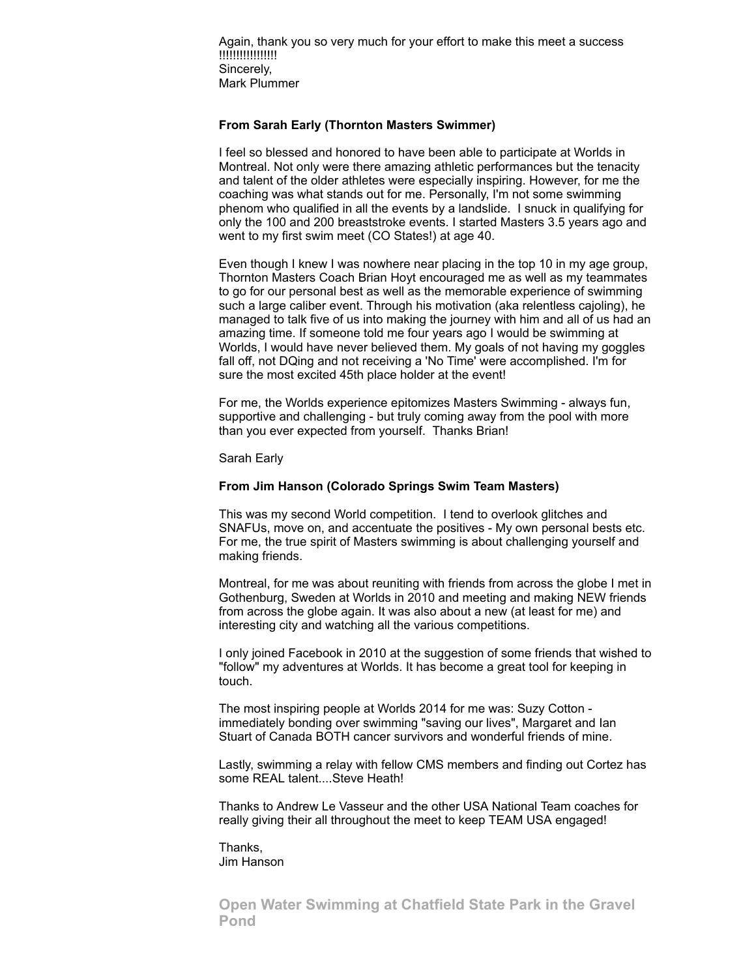Again, thank you so very much for your effort to make this meet a success !!!!!!!!!!!!!!!!! Sincerely, Mark Plummer

#### **From Sarah Early (Thornton Masters Swimmer)**

I feel so blessed and honored to have been able to participate at Worlds in Montreal. Not only were there amazing athletic performances but the tenacity and talent of the older athletes were especially inspiring. However, for me the coaching was what stands out for me. Personally, I'm not some swimming phenom who qualified in all the events by a landslide. I snuck in qualifying for only the 100 and 200 breaststroke events. I started Masters 3.5 years ago and went to my first swim meet (CO States!) at age 40.

Even though I knew I was nowhere near placing in the top 10 in my age group, Thornton Masters Coach Brian Hoyt encouraged me as well as my teammates to go for our personal best as well as the memorable experience of swimming such a large caliber event. Through his motivation (aka relentless cajoling), he managed to talk five of us into making the journey with him and all of us had an amazing time. If someone told me four years ago I would be swimming at Worlds, I would have never believed them. My goals of not having my goggles fall off, not DQing and not receiving a 'No Time' were accomplished. I'm for sure the most excited 45th place holder at the event!

For me, the Worlds experience epitomizes Masters Swimming - always fun, supportive and challenging - but truly coming away from the pool with more than you ever expected from yourself. Thanks Brian!

Sarah Early

#### **From Jim Hanson (Colorado Springs Swim Team Masters)**

This was my second World competition. I tend to overlook glitches and SNAFUs, move on, and accentuate the positives - My own personal bests etc. For me, the true spirit of Masters swimming is about challenging yourself and making friends.

Montreal, for me was about reuniting with friends from across the globe I met in Gothenburg, Sweden at Worlds in 2010 and meeting and making NEW friends from across the globe again. It was also about a new (at least for me) and interesting city and watching all the various competitions.

I only joined Facebook in 2010 at the suggestion of some friends that wished to "follow" my adventures at Worlds. It has become a great tool for keeping in touch.

The most inspiring people at Worlds 2014 for me was: Suzy Cotton immediately bonding over swimming "saving our lives", Margaret and Ian Stuart of Canada BOTH cancer survivors and wonderful friends of mine.

Lastly, swimming a relay with fellow CMS members and finding out Cortez has some REAL talent....Steve Heath!

Thanks to Andrew Le Vasseur and the other USA National Team coaches for really giving their all throughout the meet to keep TEAM USA engaged!

Thanks, Jim Hanson

<span id="page-8-0"></span>**Open Water Swimming at Chatfield State Park in the Gravel Pond**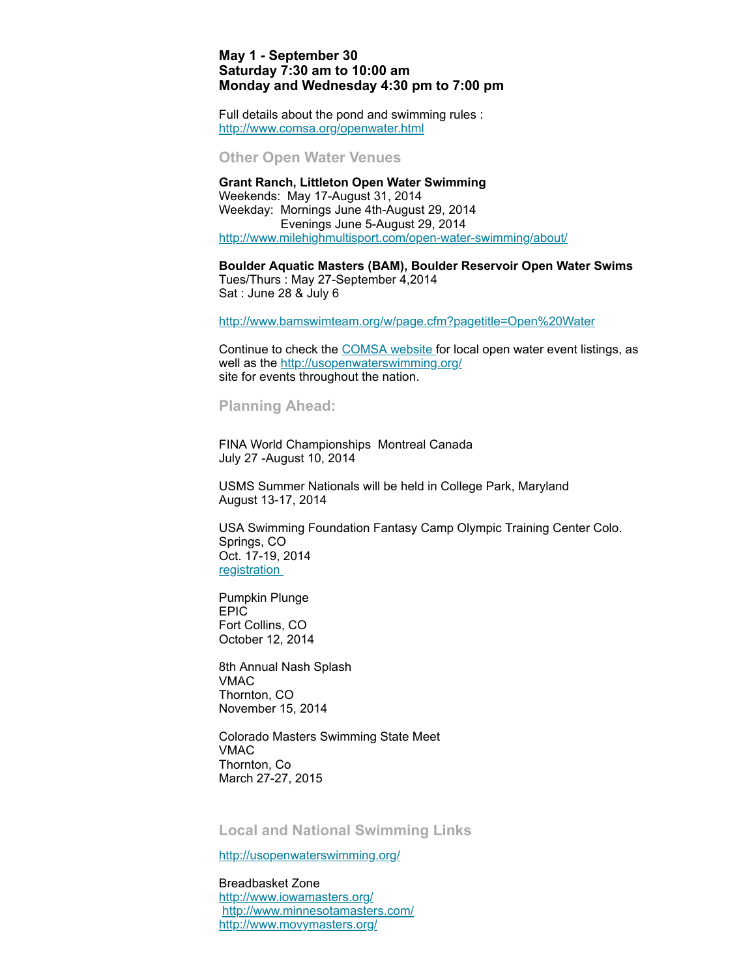#### **May 1 - September 30 Saturday 7:30 am to 10:00 am Monday and Wednesday 4:30 pm to 7:00 pm**

Full details about the pond and swimming rules : <http://www.comsa.org/openwater.html>

<span id="page-9-0"></span>**Other Open Water Venues**

**Grant Ranch, Littleton Open Water Swimming** Weekends: May 17-August 31, 2014 Weekday: Mornings June 4th-August 29, 2014 Evenings June 5-August 29, 2014 <http://www.milehighmultisport.com/open-water-swimming/about/>

**Boulder Aquatic Masters (BAM), Boulder Reservoir Open Water Swims** Tues/Thurs : May 27-September 4,2014 Sat : June 28 & July 6

<http://www.bamswimteam.org/w/page.cfm?pagetitle=Open%20Water>

Continue to check the [COMSA](http://www.comsa.org/openwater.html) website for local open water event listings, as well as the [http://usopenwaterswimming.org/](http://usopenwaterswimming.org/%20) site for events throughout the nation.

#### <span id="page-9-1"></span>**Planning Ahead:**

FINA World Championships Montreal Canada July 27 -August 10, 2014

USMS Summer Nationals will be held in College Park, Maryland August 13-17, 2014

USA Swimming Foundation Fantasy Camp Olympic Training Center Colo. Springs, CO Oct. 17-19, 2014 [registration](http://www.usms.org/comp/event.php?MeetID=20141017OTCFanL)

Pumpkin Plunge EPIC Fort Collins, CO October 12, 2014

8th Annual Nash Splash VMAC Thornton, CO November 15, 2014

Colorado Masters Swimming State Meet VMAC Thornton, Co March 27-27, 2015

<span id="page-9-2"></span>**Local and National Swimming Links**

<http://usopenwaterswimming.org/>

Breadbasket Zone <http://www.iowamasters.org/> <http://www.minnesotamasters.com/> <http://www.movymasters.org/>